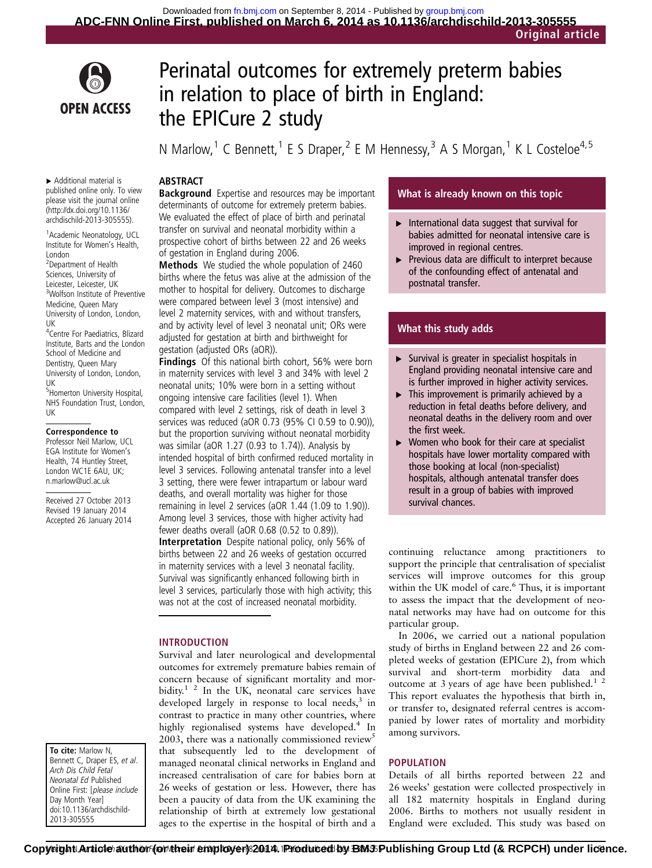

# Perinatal outcomes for extremely preterm babies in relation to place of birth in England: the EPICure 2 study

N Marlow,<sup>1</sup> C Bennett,<sup>1</sup> E S Draper,<sup>2</sup> E M Hennessy,<sup>3</sup> A S Morgan,<sup>1</sup> K L Costeloe<sup>4,5</sup>

# ABSTRACT

▸ Additional material is published online only. To view please visit the journal online [\(http://dx.doi.org/10.1136/](http://dx.doi.org/10.1136/archdischild-2013-305555) [archdischild-2013-305555](http://dx.doi.org/10.1136/archdischild-2013-305555)).

1 Academic Neonatology, UCL Institute for Women's Health, London

2 Department of Health Sciences, University of Leicester, Leicester, UK 3 Wolfson Institute of Preventive Medicine, Queen Mary University of London, London, UK

4 Centre For Paediatrics, Blizard Institute, Barts and the London School of Medicine and Dentistry, Queen Mary University of London, London, UK 5 Homerton University Hospital,

NHS Foundation Trust, London, UK

#### Correspondence to

Professor Neil Marlow, UCL EGA Institute for Women's Health, 74 Huntley Street, London WC1E 6AU, UK; n.marlow@ucl.ac.uk

Received 27 October 2013 Revised 19 January 2014 Accepted 26 January 2014

To cite: Marlow N, Bennett C, Draper ES, et al. Arch Dis Child Fetal Neonatal Ed Published Online First: [please include Day Month Year] doi:10.1136/archdischild-2013-305555

**Background** Expertise and resources may be important determinants of outcome for extremely preterm babies. We evaluated the effect of place of birth and perinatal transfer on survival and neonatal morbidity within a prospective cohort of births between 22 and 26 weeks of gestation in England during 2006.

Methods We studied the whole population of 2460 births where the fetus was alive at the admission of the mother to hospital for delivery. Outcomes to discharge were compared between level 3 (most intensive) and level 2 maternity services, with and without transfers, and by activity level of level 3 neonatal unit; ORs were adjusted for gestation at birth and birthweight for gestation (adjusted ORs (aOR)).

Findings Of this national birth cohort, 56% were born in maternity services with level 3 and 34% with level 2 neonatal units; 10% were born in a setting without ongoing intensive care facilities (level 1). When compared with level 2 settings, risk of death in level 3 services was reduced (aOR 0.73 (95% CI 0.59 to 0.90)), but the proportion surviving without neonatal morbidity was similar (aOR 1.27 (0.93 to 1.74)). Analysis by intended hospital of birth confirmed reduced mortality in level 3 services. Following antenatal transfer into a level 3 setting, there were fewer intrapartum or labour ward deaths, and overall mortality was higher for those remaining in level 2 services (aOR 1.44 (1.09 to 1.90)). Among level 3 services, those with higher activity had fewer deaths overall (aOR 0.68 (0.52 to 0.89)). Interpretation Despite national policy, only 56% of births between 22 and 26 weeks of gestation occurred in maternity services with a level 3 neonatal facility. Survival was significantly enhanced following birth in level 3 services, particularly those with high activity; this was not at the cost of increased neonatal morbidity.

#### INTRODUCTION

Survival and later neurological and developmental outcomes for extremely premature babies remain of concern because of significant mortality and morbidity.<sup>1 2</sup> In the UK, neonatal care services have developed largely in response to local needs, $3$  in contrast to practice in many other countries, where highly regionalised systems have developed.<sup>4</sup> In 2003, there was a nationally commissioned review<sup>5</sup> that subsequently led to the development of managed neonatal clinical networks in England and increased centralisation of care for babies born at 26 weeks of gestation or less. However, there has been a paucity of data from the UK examining the relationship of birth at extremely low gestational ages to the expertise in the hospital of birth and a

# What is already known on this topic

- $\blacktriangleright$  International data suggest that survival for babies admitted for neonatal intensive care is improved in regional centres.
- ▸ Previous data are difficult to interpret because of the confounding effect of antenatal and postnatal transfer.

# What this study adds

- $\triangleright$  Survival is greater in specialist hospitals in England providing neonatal intensive care and is further improved in higher activity services.
- ▸ This improvement is primarily achieved by a reduction in fetal deaths before delivery, and neonatal deaths in the delivery room and over the first week.
- $\triangleright$  Women who book for their care at specialist hospitals have lower mortality compared with those booking at local (non-specialist) hospitals, although antenatal transfer does result in a group of babies with improved survival chances.

continuing reluctance among practitioners to support the principle that centralisation of specialist services will improve outcomes for this group within the UK model of care.<sup>6</sup> Thus, it is important to assess the impact that the development of neonatal networks may have had on outcome for this particular group.

In 2006, we carried out a national population study of births in England between 22 and 26 completed weeks of gestation (EPICure 2), from which survival and short-term morbidity data and outcome at 3 years of age have been published. $1^2$ This report evaluates the hypothesis that birth in, or transfer to, designated referral centres is accompanied by lower rates of mortality and morbidity among survivors.

### POPULATION

Details of all births reported between 22 and 26 weeks' gestation were collected prospectively in all 182 maternity hospitals in England during 2006. Births to mothers not usually resident in England were excluded. This study was based on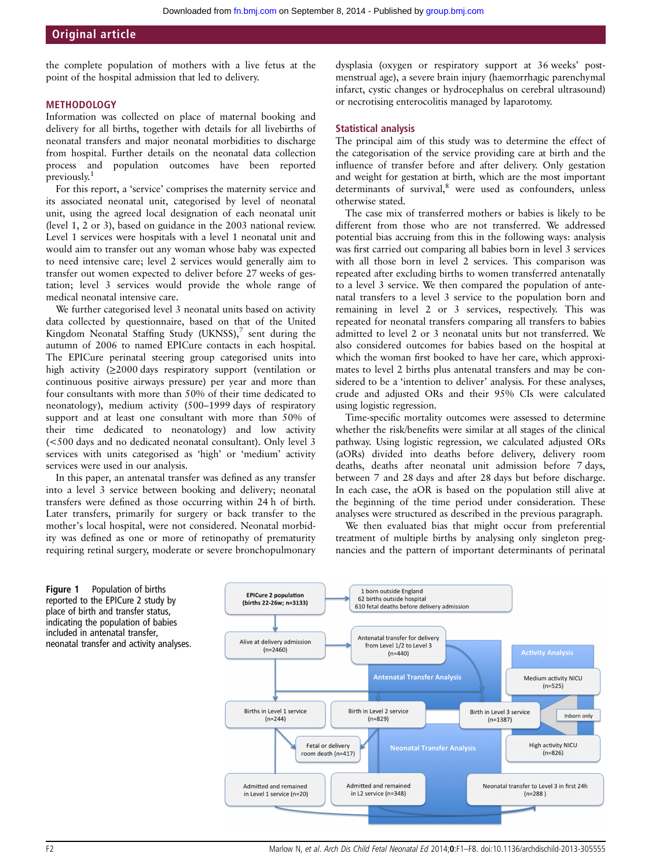the complete population of mothers with a live fetus at the point of the hospital admission that led to delivery.

#### **METHODOLOGY**

Information was collected on place of maternal booking and delivery for all births, together with details for all livebirths of neonatal transfers and major neonatal morbidities to discharge from hospital. Further details on the neonatal data collection process and population outcomes have been reported previously.<sup>1</sup>

For this report, a 'service' comprises the maternity service and its associated neonatal unit, categorised by level of neonatal unit, using the agreed local designation of each neonatal unit (level 1, 2 or 3), based on guidance in the 2003 national review. Level 1 services were hospitals with a level 1 neonatal unit and would aim to transfer out any woman whose baby was expected to need intensive care; level 2 services would generally aim to transfer out women expected to deliver before 27 weeks of gestation; level 3 services would provide the whole range of medical neonatal intensive care.

We further categorised level 3 neonatal units based on activity data collected by questionnaire, based on that of the United Kingdom Neonatal Staffing Study (UKNSS), $^7$  sent during the autumn of 2006 to named EPICure contacts in each hospital. The EPICure perinatal steering group categorised units into high activity (≥2000 days respiratory support (ventilation or continuous positive airways pressure) per year and more than four consultants with more than 50% of their time dedicated to neonatology), medium activity (500–1999 days of respiratory support and at least one consultant with more than 50% of their time dedicated to neonatology) and low activity (<500 days and no dedicated neonatal consultant). Only level 3 services with units categorised as 'high' or 'medium' activity services were used in our analysis.

In this paper, an antenatal transfer was defined as any transfer into a level 3 service between booking and delivery; neonatal transfers were defined as those occurring within 24 h of birth. Later transfers, primarily for surgery or back transfer to the mother's local hospital, were not considered. Neonatal morbidity was defined as one or more of retinopathy of prematurity requiring retinal surgery, moderate or severe bronchopulmonary

Figure 1 Population of births reported to the EPICure 2 study by place of birth and transfer status, indicating the population of babies included in antenatal transfer,

dysplasia (oxygen or respiratory support at 36 weeks' postmenstrual age), a severe brain injury (haemorrhagic parenchymal infarct, cystic changes or hydrocephalus on cerebral ultrasound) or necrotising enterocolitis managed by laparotomy.

## Statistical analysis

The principal aim of this study was to determine the effect of the categorisation of the service providing care at birth and the influence of transfer before and after delivery. Only gestation and weight for gestation at birth, which are the most important determinants of survival,<sup>8</sup> were used as confounders, unless otherwise stated.

The case mix of transferred mothers or babies is likely to be different from those who are not transferred. We addressed potential bias accruing from this in the following ways: analysis was first carried out comparing all babies born in level 3 services with all those born in level 2 services. This comparison was repeated after excluding births to women transferred antenatally to a level 3 service. We then compared the population of antenatal transfers to a level 3 service to the population born and remaining in level 2 or 3 services, respectively. This was repeated for neonatal transfers comparing all transfers to babies admitted to level 2 or 3 neonatal units but not transferred. We also considered outcomes for babies based on the hospital at which the woman first booked to have her care, which approximates to level 2 births plus antenatal transfers and may be considered to be a 'intention to deliver' analysis. For these analyses, crude and adjusted ORs and their 95% CIs were calculated using logistic regression.

Time-specific mortality outcomes were assessed to determine whether the risk/benefits were similar at all stages of the clinical pathway. Using logistic regression, we calculated adjusted ORs (aORs) divided into deaths before delivery, delivery room deaths, deaths after neonatal unit admission before 7 days, between 7 and 28 days and after 28 days but before discharge. In each case, the aOR is based on the population still alive at the beginning of the time period under consideration. These analyses were structured as described in the previous paragraph.

We then evaluated bias that might occur from preferential treatment of multiple births by analysing only singleton pregnancies and the pattern of important determinants of perinatal

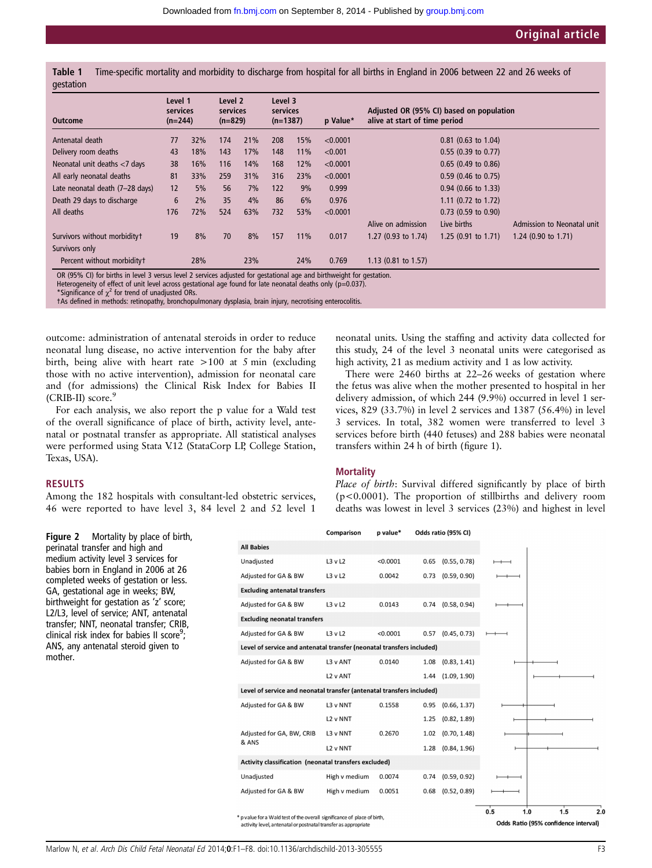Table 1 Time-specific mortality and morbidity to discharge from hospital for all births in England in 2006 between 22 and 26 weeks of gestation

| <b>Outcome</b>                  | Level 1<br>services<br>$(n=244)$ |     | Level 2<br>services<br>$(n=829)$ |     | Level 3<br>services<br>$(n=1387)$ |     | p Value* | alive at start of time period | Adjusted OR (95% CI) based on population |                                |
|---------------------------------|----------------------------------|-----|----------------------------------|-----|-----------------------------------|-----|----------|-------------------------------|------------------------------------------|--------------------------------|
| Antenatal death                 | 77                               | 32% | 174                              | 21% | 208                               | 15% | < 0.0001 |                               | $0.81$ (0.63 to 1.04)                    |                                |
| Delivery room deaths            | 43                               | 18% | 143                              | 17% | 148                               | 11% | < 0.001  |                               | $0.55$ (0.39 to 0.77)                    |                                |
| Neonatal unit deaths <7 days    | 38                               | 16% | 116                              | 14% | 168                               | 12% | < 0.0001 |                               | $0.65$ (0.49 to 0.86)                    |                                |
| All early neonatal deaths       | 81                               | 33% | 259                              | 31% | 316                               | 23% | < 0.0001 |                               | $0.59$ (0.46 to 0.75)                    |                                |
| Late neonatal death (7-28 days) | 12                               | 5%  | 56                               | 7%  | 122                               | 9%  | 0.999    |                               | $0.94$ (0.66 to 1.33)                    |                                |
| Death 29 days to discharge      | 6                                | 2%  | 35                               | 4%  | 86                                | 6%  | 0.976    |                               | 1.11 (0.72 to 1.72)                      |                                |
| All deaths                      | 176                              | 72% | 524                              | 63% | 732                               | 53% | < 0.0001 |                               | $0.73$ (0.59 to 0.90)                    |                                |
|                                 |                                  |     |                                  |     |                                   |     |          | Alive on admission            | Live births                              | Admission to Neonatal unit     |
| Survivors without morbidityt    | 19                               | 8%  | 70                               | 8%  | 157                               | 11% | 0.017    | 1.27 $(0.93$ to 1.74)         | 1.25 $(0.91$ to 1.71)                    | 1.24 $(0.90 \text{ to } 1.71)$ |
| Survivors only                  |                                  |     |                                  |     |                                   |     |          |                               |                                          |                                |
| Percent without morbidityt      |                                  | 28% |                                  | 23% |                                   | 24% | 0.769    | 1.13 (0.81 to 1.57)           |                                          |                                |

\*Significance of  $\chi^2$  for trend of unadjusted ORs.

†As defined in methods: retinopathy, bronchopulmonary dysplasia, brain injury, necrotising enterocolitis.

outcome: administration of antenatal steroids in order to reduce neonatal lung disease, no active intervention for the baby after birth, being alive with heart rate >100 at 5 min (excluding those with no active intervention), admission for neonatal care and (for admissions) the Clinical Risk Index for Babies II (CRIB-II) score.<sup>9</sup>

For each analysis, we also report the p value for a Wald test of the overall significance of place of birth, activity level, antenatal or postnatal transfer as appropriate. All statistical analyses were performed using Stata V.12 (StataCorp LP, College Station, Texas, USA).

#### RESULTS

Among the 182 hospitals with consultant-led obstetric services, 46 were reported to have level 3, 84 level 2 and 52 level 1

neonatal units. Using the staffing and activity data collected for this study, 24 of the level 3 neonatal units were categorised as high activity, 21 as medium activity and 1 as low activity.

There were 2460 births at 22–26 weeks of gestation where the fetus was alive when the mother presented to hospital in her delivery admission, of which 244 (9.9%) occurred in level 1 services, 829 (33.7%) in level 2 services and 1387 (56.4%) in level 3 services. In total, 382 women were transferred to level 3 services before birth (440 fetuses) and 288 babies were neonatal transfers within 24 h of birth (figure 1).

#### **Mortality**

Place of birth: Survival differed significantly by place of birth (p<0.0001). The proportion of stillbirths and delivery room deaths was lowest in level 3 services (23%) and highest in level

Figure 2 Mortality by place of birth, perinatal transfer and high and medium activity level 3 services for babies born in England in 2006 at 26 completed weeks of gestation or less. GA, gestational age in weeks; BW, birthweight for gestation as 'z' score; L2/L3, level of service; ANT, antenatal transfer; NNT, neonatal transfer; CRIB, clinical risk index for babies II score<sup>9</sup>; ANS, any antenatal steroid given to mother.

|                                                                       | Comparison    | p value* |      | Odds ratio (95% CI) |     |            |    |
|-----------------------------------------------------------------------|---------------|----------|------|---------------------|-----|------------|----|
| <b>All Babies</b>                                                     |               |          |      |                     |     |            |    |
| Unadjusted                                                            | L3vL2         | < 0.0001 | 0.65 | (0.55, 0.78)        |     |            |    |
| Adjusted for GA & BW                                                  | L3vL2         | 0.0042   | 0.73 | (0.59, 0.90)        |     |            |    |
| <b>Excluding antenatal transfers</b>                                  |               |          |      |                     |     |            |    |
| Adjusted for GA & BW                                                  | L3vL2         | 0.0143   | 0.74 | (0.58, 0.94)        |     |            |    |
| <b>Excluding neonatal transfers</b>                                   |               |          |      |                     |     |            |    |
| Adjusted for GA & BW                                                  | L3vL2         | < 0.0001 | 0.57 | (0.45, 0.73)        |     |            |    |
| Level of service and antenatal transfer (neonatal transfers included) |               |          |      |                     |     |            |    |
| Adjusted for GA & BW                                                  | L3 v ANT      | 0.0140   | 1.08 | (0.83, 1.41)        |     |            |    |
|                                                                       | L2 v ANT      |          | 1.44 | (1.09, 1.90)        |     |            |    |
| Level of service and neonatal transfer (antenatal transfers included) |               |          |      |                     |     |            |    |
| Adjusted for GA & BW                                                  | L3 v NNT      | 0.1558   | 0.95 | (0.66, 1.37)        |     |            |    |
|                                                                       | L2 v NNT      |          | 1.25 | (0.82, 1.89)        |     |            |    |
| Adjusted for GA, BW, CRIB                                             | L3 v NNT      | 0.2670   | 1.02 | (0.70, 1.48)        |     |            |    |
| & ANS                                                                 | L2 v NNT      |          |      | 1.28 (0.84, 1.96)   |     |            |    |
| Activity classification (neonatal transfers excluded)                 |               |          |      |                     |     |            |    |
| Unadjusted                                                            | High v medium | 0.0074   | 0.74 | (0.59, 0.92)        |     |            |    |
| Adjusted for GA & BW                                                  | High v medium | 0.0051   | 0.68 | (0.52, 0.89)        |     |            |    |
|                                                                       |               |          |      |                     | 0.5 | 1.5<br>1.0 | 20 |

\* p value for a Wald test of the overall significance of place of birth. activity level, antenatal or postnatal transfer as appropriate

Odds Ratio (95% confidence interval)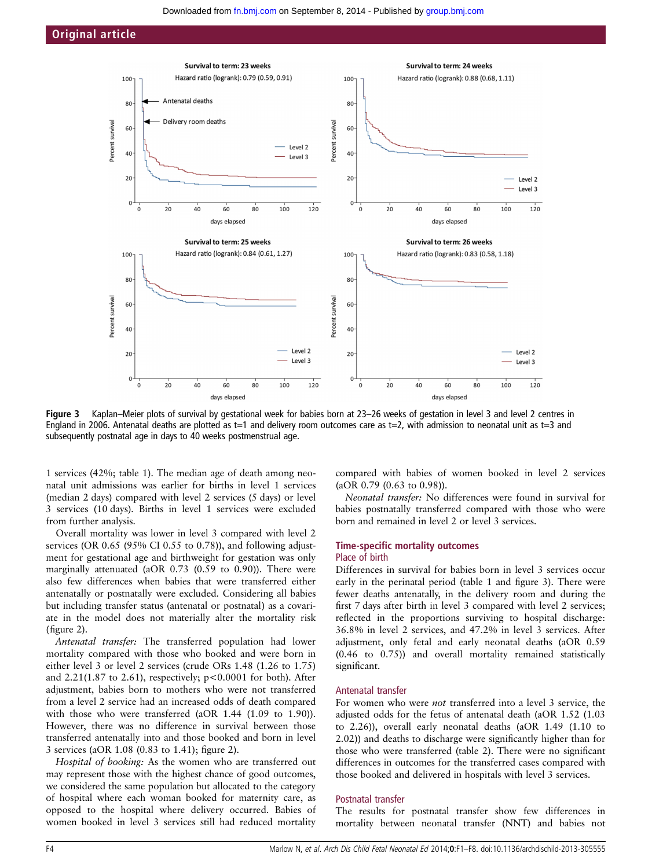



Figure 3 Kaplan–Meier plots of survival by gestational week for babies born at 23–26 weeks of gestation in level 3 and level 2 centres in England in 2006. Antenatal deaths are plotted as t=1 and delivery room outcomes care as t=2, with admission to neonatal unit as t=3 and subsequently postnatal age in days to 40 weeks postmenstrual age.

1 services (42%; table 1). The median age of death among neonatal unit admissions was earlier for births in level 1 services (median 2 days) compared with level 2 services (5 days) or level 3 services (10 days). Births in level 1 services were excluded from further analysis.

Overall mortality was lower in level 3 compared with level 2 services (OR 0.65 (95% CI 0.55 to 0.78)), and following adjustment for gestational age and birthweight for gestation was only marginally attenuated (aOR 0.73 (0.59 to 0.90)). There were also few differences when babies that were transferred either antenatally or postnatally were excluded. Considering all babies but including transfer status (antenatal or postnatal) as a covariate in the model does not materially alter the mortality risk (figure 2).

Antenatal transfer: The transferred population had lower mortality compared with those who booked and were born in either level 3 or level 2 services (crude ORs 1.48 (1.26 to 1.75) and 2.21(1.87 to 2.61), respectively; p<0.0001 for both). After adjustment, babies born to mothers who were not transferred from a level 2 service had an increased odds of death compared with those who were transferred (aOR 1.44 (1.09 to 1.90)). However, there was no difference in survival between those transferred antenatally into and those booked and born in level 3 services (aOR 1.08 (0.83 to 1.41); figure 2).

Hospital of booking: As the women who are transferred out may represent those with the highest chance of good outcomes, we considered the same population but allocated to the category of hospital where each woman booked for maternity care, as opposed to the hospital where delivery occurred. Babies of women booked in level 3 services still had reduced mortality

compared with babies of women booked in level 2 services (aOR 0.79 (0.63 to 0.98)).

Neonatal transfer: No differences were found in survival for babies postnatally transferred compared with those who were born and remained in level 2 or level 3 services.

#### Time-specific mortality outcomes

#### Place of birth

Differences in survival for babies born in level 3 services occur early in the perinatal period (table 1 and figure 3). There were fewer deaths antenatally, in the delivery room and during the first 7 days after birth in level 3 compared with level 2 services; reflected in the proportions surviving to hospital discharge: 36.8% in level 2 services, and 47.2% in level 3 services. After adjustment, only fetal and early neonatal deaths (aOR 0.59 (0.46 to 0.75)) and overall mortality remained statistically significant.

#### Antenatal transfer

For women who were not transferred into a level 3 service, the adjusted odds for the fetus of antenatal death (aOR 1.52 (1.03 to 2.26)), overall early neonatal deaths (aOR 1.49 (1.10 to 2.02)) and deaths to discharge were significantly higher than for those who were transferred (table 2). There were no significant differences in outcomes for the transferred cases compared with those booked and delivered in hospitals with level 3 services.

#### Postnatal transfer

The results for postnatal transfer show few differences in mortality between neonatal transfer (NNT) and babies not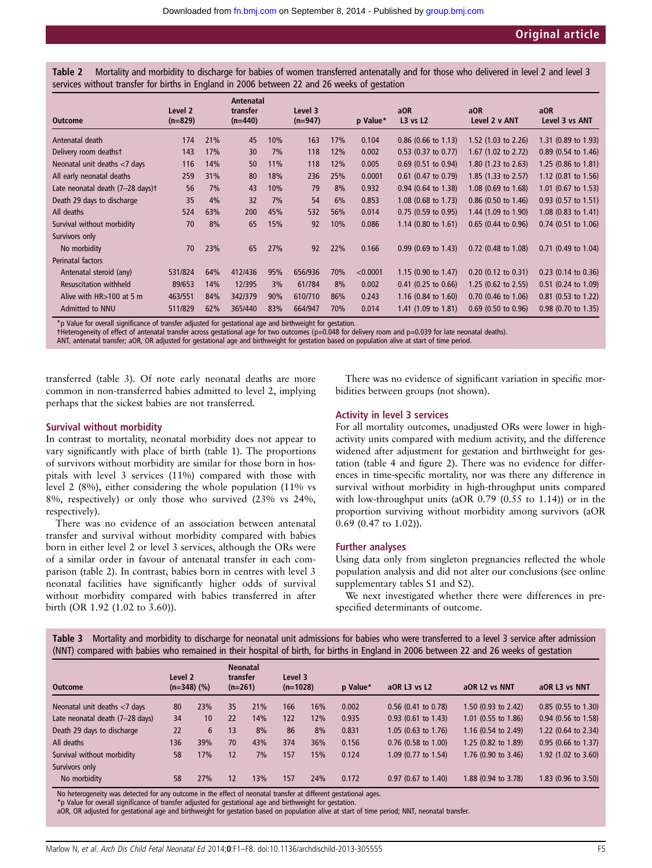Table 2 Mortality and morbidity to discharge for babies of women transferred antenatally and for those who delivered in level 2 and level 3 services without transfer for births in England in 2006 between 22 and 26 weeks of gestation

| <b>Outcome</b>                   | Level 2<br>$(n=829)$ |     | Antenatal<br>transfer<br>$(n=440)$ |     | Level 3<br>$(n=947)$ |     | p Value* | aOR<br>$L3$ vs $L2$            | a <sub>OR</sub><br>Level 2 v ANT | aOR<br>Level 3 vs ANT |
|----------------------------------|----------------------|-----|------------------------------------|-----|----------------------|-----|----------|--------------------------------|----------------------------------|-----------------------|
| Antenatal death                  | 174                  | 21% | 45                                 | 10% | 163                  | 17% | 0.104    | $0.86$ (0.66 to 1.13)          | 1.52 (1.03 to 2.26)              | 1.31 (0.89 to 1.93)   |
| Delivery room deathst            | 143                  | 17% | 30                                 | 7%  | 118                  | 12% | 0.002    | $0.53$ (0.37 to 0.77)          | 1.67 (1.02 to 2.72)              | $0.89$ (0.54 to 1.46) |
| Neonatal unit deaths <7 days     | 116                  | 14% | 50                                 | 11% | 118                  | 12% | 0.005    | $0.69$ (0.51 to 0.94)          | 1.80 (1.23 to 2.63)              | 1.25 (0.86 to 1.81)   |
| All early neonatal deaths        | 259                  | 31% | 80                                 | 18% | 236                  | 25% | 0.0001   | $0.61$ (0.47 to 0.79)          | 1.85 (1.33 to 2.57)              | 1.12 (0.81 to 1.56)   |
| Late neonatal death (7-28 days)t | 56                   | 7%  | 43                                 | 10% | 79                   | 8%  | 0.932    | 0.94 (0.64 to 1.38)            | 1.08 (0.69 to 1.68)              | 1.01 (0.67 to 1.53)   |
| Death 29 days to discharge       | 35                   | 4%  | 32                                 | 7%  | 54                   | 6%  | 0.853    | 1.08 (0.68 to 1.73)            | 0.86 (0.50 to 1.46)              | $0.93$ (0.57 to 1.51) |
| All deaths                       | 524                  | 63% | 200                                | 45% | 532                  | 56% | 0.014    | $0.75$ (0.59 to 0.95)          | 1.44 (1.09 to 1.90)              | $1.08$ (0.83 to 1.41) |
| Survival without morbidity       | 70                   | 8%  | 65                                 | 15% | 92                   | 10% | 0.086    | 1.14 $(0.80 \text{ to } 1.61)$ | $0.65$ (0.44 to 0.96)            | $0.74$ (0.51 to 1.06) |
| Survivors only                   |                      |     |                                    |     |                      |     |          |                                |                                  |                       |
| No morbidity                     | 70                   | 23% | 65                                 | 27% | 92                   | 22% | 0.166    | $0.99$ (0.69 to 1.43)          | 0.72 (0.48 to 1.08)              | $0.71$ (0.49 to 1.04) |
| Perinatal factors                |                      |     |                                    |     |                      |     |          |                                |                                  |                       |
| Antenatal steroid (any)          | 531/824              | 64% | 412/436                            | 95% | 656/936              | 70% | < 0.0001 | 1.15 $(0.90 \text{ to } 1.47)$ | $0.20$ (0.12 to 0.31)            | $0.23$ (0.14 to 0.36) |
| <b>Resuscitation withheld</b>    | 89/653               | 14% | 12/395                             | 3%  | 61/784               | 8%  | 0.002    | $0.41$ (0.25 to 0.66)          | 1.25 (0.62 to 2.55)              | 0.51 (0.24 to 1.09)   |
| Alive with $HR > 100$ at 5 m     | 463/551              | 84% | 342/379                            | 90% | 610/710              | 86% | 0.243    | 1.16 $(0.84 \text{ to } 1.60)$ | 0.70 (0.46 to 1.06)              | $0.81$ (0.53 to 1.22) |
| Admitted to NNU                  | 511/829              | 62% | 365/440                            | 83% | 664/947              | 70% | 0.014    | 1.41 $(1.09 \text{ to } 1.81)$ | $0.69$ (0.50 to 0.96)            | 0.98 (0.70 to 1.35)   |

\*p Value for overall significance of transfer adjusted for gestational age and birthweight for gestation.

†Heterogeneity of effect of antenatal transfer across gestational age for two outcomes (p=0.048 for delivery room and p=0.039 for late neonatal deaths).

ANT, antenatal transfer; aOR, OR adjusted for gestational age and birthweight for gestation based on population alive at start of time period.

transferred (table 3). Of note early neonatal deaths are more common in non-transferred babies admitted to level 2, implying perhaps that the sickest babies are not transferred.

#### Survival without morbidity

In contrast to mortality, neonatal morbidity does not appear to vary significantly with place of birth (table 1). The proportions of survivors without morbidity are similar for those born in hospitals with level 3 services (11%) compared with those with level 2 (8%), either considering the whole population (11% vs 8%, respectively) or only those who survived (23% vs 24%, respectively).

There was no evidence of an association between antenatal transfer and survival without morbidity compared with babies born in either level 2 or level 3 services, although the ORs were of a similar order in favour of antenatal transfer in each comparison (table 2). In contrast, babies born in centres with level 3 neonatal facilities have significantly higher odds of survival without morbidity compared with babies transferred in after birth (OR 1.92 (1.02 to 3.60)).

There was no evidence of significant variation in specific morbidities between groups (not shown).

#### Activity in level 3 services

For all mortality outcomes, unadjusted ORs were lower in highactivity units compared with medium activity, and the difference widened after adjustment for gestation and birthweight for gestation (table 4 and figure 2). There was no evidence for differences in time-specific mortality, nor was there any difference in survival without morbidity in high-throughput units compared with low-throughput units (aOR 0.79 (0.55 to 1.14)) or in the proportion surviving without morbidity among survivors (aOR 0.69 (0.47 to 1.02)).

#### Further analyses

Using data only from singleton pregnancies reflected the whole population analysis and did not alter our conclusions (see online supplementary tables S1 and S2).

We next investigated whether there were differences in prespecified determinants of outcome.

| Table 3 Mortality and morbidity to discharge for neonatal unit admissions for babies who were transferred to a level 3 service after admission |  |  |  |  |
|------------------------------------------------------------------------------------------------------------------------------------------------|--|--|--|--|
| (NNT) compared with babies who remained in their hospital of birth, for births in England in 2006 between 22 and 26 weeks of gestation         |  |  |  |  |

|     |                 |                             |     |                                          |     | p Value*              | aOR L3 vs L2          | aOR L2 vs NNT                  | aOR L3 vs NNT                  |
|-----|-----------------|-----------------------------|-----|------------------------------------------|-----|-----------------------|-----------------------|--------------------------------|--------------------------------|
| 80  | 23%             | 35                          | 21% | 166                                      | 16% | 0.002                 | $0.56$ (0.41 to 0.78) | 1.50 $(0.93$ to 2.42)          | $0.85$ (0.55 to 1.30)          |
| 34  | 10 <sup>°</sup> | 22                          | 14% | 122                                      | 12% | 0.935                 | $0.93$ (0.61 to 1.43) | $1.01$ (0.55 to 1.86)          | $0.94$ (0.56 to 1.58)          |
| 22  | 6               | 13                          | 8%  | 86                                       | 8%  | 0.831                 | 1.05 (0.63 to 1.76)   | 1.16 $(0.54 \text{ to } 2.49)$ | 1.22 (0.64 to 2.34)            |
| 136 | 39%             | 70                          | 43% | 374                                      | 36% | 0.156                 | 0.76 (0.58 to 1.00)   | 1.25 (0.82 to 1.89)            | $0.95$ (0.66 to 1.37)          |
| 58  | 17%             | 12                          | 7%  | 157                                      | 15% | 0.124                 | $1.09$ (0.77 to 1.54) | $1.76$ (0.90 to 3.46)          | 1.92 $(1.02 \text{ to } 3.60)$ |
|     |                 |                             |     |                                          |     |                       |                       |                                |                                |
| 58  | 27%             | 12                          | 13% | 157                                      | 24% | 0.172                 | 0.97 (0.67 to 1.40)   | 1.88 (0.94 to 3.78)            | $1.83$ (0.96 to 3.50)          |
|     |                 | Level 2<br>$(n=348)$ $(\%)$ |     | <b>Neonatal</b><br>transfer<br>$(n=261)$ |     | Level 3<br>$(n=1028)$ |                       |                                |                                |

No heterogeneity was detected for any outcome in the effect of neonatal transfer at different gestational ages. \*p Value for overall significance of transfer adjusted for gestational age and birthweight for gestation.

aOR, OR adjusted for gestational age and birthweight for gestation based on population alive at start of time period; NNT, neonatal transfer.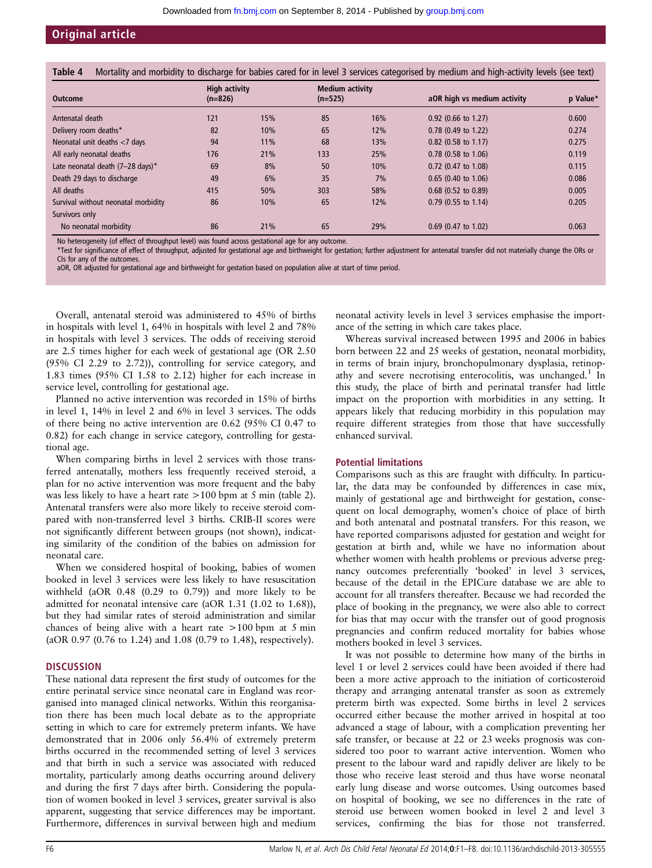# Original article

|  | Table 4 Mortality and morbidity to discharge for babies cared for in level 3 services categorised by medium and high-activity levels (see text) |  |  |
|--|-------------------------------------------------------------------------------------------------------------------------------------------------|--|--|
|  |                                                                                                                                                 |  |  |

| <b>Outcome</b>                              | <b>High activity</b><br>$(n=826)$ |     | <b>Medium activity</b><br>$(n=525)$ |     | aOR high vs medium activity | p Value* |
|---------------------------------------------|-----------------------------------|-----|-------------------------------------|-----|-----------------------------|----------|
| Antenatal death                             | 121                               | 15% | 85                                  | 16% | $0.92$ (0.66 to 1.27)       | 0.600    |
| Delivery room deaths*                       | 82                                | 10% | 65                                  | 12% | $0.78$ (0.49 to 1.22)       | 0.274    |
| Neonatal unit deaths <7 days                | 94                                | 11% | 68                                  | 13% | 0.82 (0.58 to 1.17)         | 0.275    |
| All early neonatal deaths                   | 176                               | 21% | 133                                 | 25% | $0.78$ (0.58 to 1.06)       | 0.119    |
| Late neonatal death $(7-28 \text{ days})^*$ | 69                                | 8%  | 50                                  | 10% | 0.72 (0.47 to 1.08)         | 0.115    |
| Death 29 days to discharge                  | 49                                | 6%  | 35                                  | 7%  | $0.65$ (0.40 to 1.06)       | 0.086    |
| All deaths                                  | 415                               | 50% | 303                                 | 58% | $0.68$ (0.52 to 0.89)       | 0.005    |
| Survival without neonatal morbidity         | 86                                | 10% | 65                                  | 12% | $0.79$ (0.55 to 1.14)       | 0.205    |
| Survivors only                              |                                   |     |                                     |     |                             |          |
| No neonatal morbidity                       | 86                                | 21% | 65                                  | 29% | $0.69$ (0.47 to 1.02)       | 0.063    |

No heterogeneity (of effect of throughput level) was found across gestational age for any outcome.

\*Test for significance of effect of throughput, adjusted for gestational age and birthweight for gestation; further adjustment for antenatal transfer did not materially change the ORs or CIs for any of the outcomes.

aOR, OR adjusted for gestational age and birthweight for gestation based on population alive at start of time period.

Overall, antenatal steroid was administered to 45% of births in hospitals with level 1, 64% in hospitals with level 2 and 78% in hospitals with level 3 services. The odds of receiving steroid are 2.5 times higher for each week of gestational age (OR 2.50 (95% CI 2.29 to 2.72)), controlling for service category, and 1.83 times (95% CI 1.58 to 2.12) higher for each increase in service level, controlling for gestational age.

Planned no active intervention was recorded in 15% of births in level 1, 14% in level 2 and 6% in level 3 services. The odds of there being no active intervention are 0.62 (95% CI 0.47 to 0.82) for each change in service category, controlling for gestational age.

When comparing births in level 2 services with those transferred antenatally, mothers less frequently received steroid, a plan for no active intervention was more frequent and the baby was less likely to have a heart rate >100 bpm at 5 min (table 2). Antenatal transfers were also more likely to receive steroid compared with non-transferred level 3 births. CRIB-II scores were not significantly different between groups (not shown), indicating similarity of the condition of the babies on admission for neonatal care.

When we considered hospital of booking, babies of women booked in level 3 services were less likely to have resuscitation withheld (aOR 0.48 (0.29 to 0.79)) and more likely to be admitted for neonatal intensive care (aOR 1.31 (1.02 to 1.68)), but they had similar rates of steroid administration and similar chances of being alive with a heart rate >100 bpm at 5 min (aOR 0.97 (0.76 to 1.24) and 1.08 (0.79 to 1.48), respectively).

#### **DISCUSSION**

These national data represent the first study of outcomes for the entire perinatal service since neonatal care in England was reorganised into managed clinical networks. Within this reorganisation there has been much local debate as to the appropriate setting in which to care for extremely preterm infants. We have demonstrated that in 2006 only 56.4% of extremely preterm births occurred in the recommended setting of level 3 services and that birth in such a service was associated with reduced mortality, particularly among deaths occurring around delivery and during the first 7 days after birth. Considering the population of women booked in level 3 services, greater survival is also apparent, suggesting that service differences may be important. Furthermore, differences in survival between high and medium

neonatal activity levels in level 3 services emphasise the importance of the setting in which care takes place.

Whereas survival increased between 1995 and 2006 in babies born between 22 and 25 weeks of gestation, neonatal morbidity, in terms of brain injury, bronchopulmonary dysplasia, retinopathy and severe necrotising enterocolitis, was unchanged.<sup>1</sup> In this study, the place of birth and perinatal transfer had little impact on the proportion with morbidities in any setting. It appears likely that reducing morbidity in this population may require different strategies from those that have successfully enhanced survival.

#### Potential limitations

Comparisons such as this are fraught with difficulty. In particular, the data may be confounded by differences in case mix, mainly of gestational age and birthweight for gestation, consequent on local demography, women's choice of place of birth and both antenatal and postnatal transfers. For this reason, we have reported comparisons adjusted for gestation and weight for gestation at birth and, while we have no information about whether women with health problems or previous adverse pregnancy outcomes preferentially 'booked' in level 3 services, because of the detail in the EPICure database we are able to account for all transfers thereafter. Because we had recorded the place of booking in the pregnancy, we were also able to correct for bias that may occur with the transfer out of good prognosis pregnancies and confirm reduced mortality for babies whose mothers booked in level 3 services.

It was not possible to determine how many of the births in level 1 or level 2 services could have been avoided if there had been a more active approach to the initiation of corticosteroid therapy and arranging antenatal transfer as soon as extremely preterm birth was expected. Some births in level 2 services occurred either because the mother arrived in hospital at too advanced a stage of labour, with a complication preventing her safe transfer, or because at 22 or 23 weeks prognosis was considered too poor to warrant active intervention. Women who present to the labour ward and rapidly deliver are likely to be those who receive least steroid and thus have worse neonatal early lung disease and worse outcomes. Using outcomes based on hospital of booking, we see no differences in the rate of steroid use between women booked in level 2 and level 3 services, confirming the bias for those not transferred.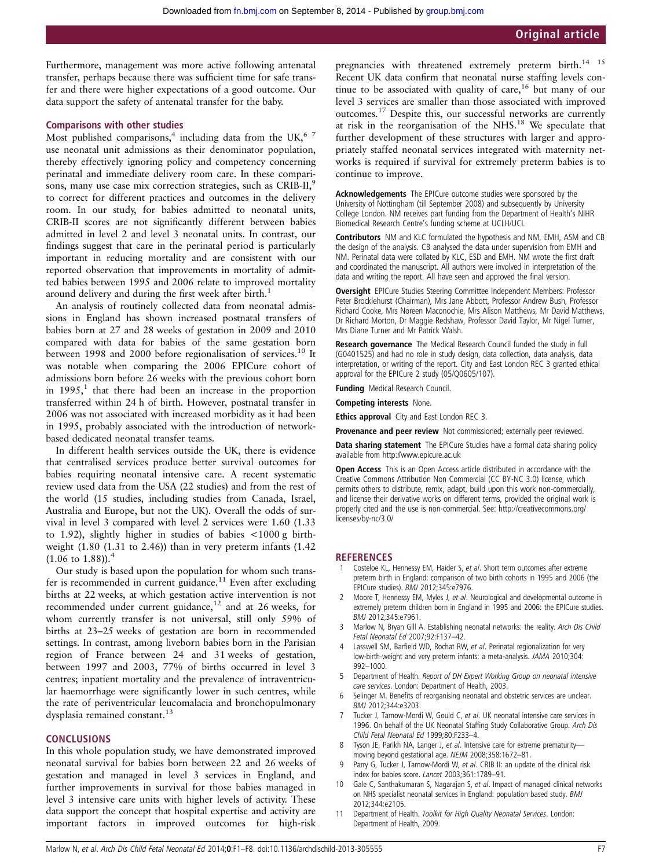Furthermore, management was more active following antenatal transfer, perhaps because there was sufficient time for safe transfer and there were higher expectations of a good outcome. Our data support the safety of antenatal transfer for the baby.

#### Comparisons with other studies

Most published comparisons,<sup>4</sup> including data from the UK, $67$ use neonatal unit admissions as their denominator population, thereby effectively ignoring policy and competency concerning perinatal and immediate delivery room care. In these comparisons, many use case mix correction strategies, such as CRIB-II,<sup>9</sup> to correct for different practices and outcomes in the delivery room. In our study, for babies admitted to neonatal units, CRIB-II scores are not significantly different between babies admitted in level 2 and level 3 neonatal units. In contrast, our findings suggest that care in the perinatal period is particularly important in reducing mortality and are consistent with our reported observation that improvements in mortality of admitted babies between 1995 and 2006 relate to improved mortality around delivery and during the first week after birth.<sup>1</sup>

An analysis of routinely collected data from neonatal admissions in England has shown increased postnatal transfers of babies born at 27 and 28 weeks of gestation in 2009 and 2010 compared with data for babies of the same gestation born between 1998 and 2000 before regionalisation of services.<sup>10</sup> It was notable when comparing the 2006 EPICure cohort of admissions born before 26 weeks with the previous cohort born in  $1995<sup>1</sup>$ , that there had been an increase in the proportion transferred within 24 h of birth. However, postnatal transfer in 2006 was not associated with increased morbidity as it had been in 1995, probably associated with the introduction of networkbased dedicated neonatal transfer teams.

In different health services outside the UK, there is evidence that centralised services produce better survival outcomes for babies requiring neonatal intensive care. A recent systematic review used data from the USA (22 studies) and from the rest of the world (15 studies, including studies from Canada, Israel, Australia and Europe, but not the UK). Overall the odds of survival in level 3 compared with level 2 services were 1.60 (1.33 to 1.92), slightly higher in studies of babies <1000 g birthweight (1.80 (1.31 to 2.46)) than in very preterm infants (1.42  $(1.06 \text{ to } 1.88)$ ).<sup>4</sup>

Our study is based upon the population for whom such transfer is recommended in current guidance.<sup>11</sup> Even after excluding births at 22 weeks, at which gestation active intervention is not recommended under current guidance,<sup>12</sup> and at 26 weeks, for whom currently transfer is not universal, still only 59% of births at 23–25 weeks of gestation are born in recommended settings. In contrast, among liveborn babies born in the Parisian region of France between 24 and 31 weeks of gestation, between 1997 and 2003, 77% of births occurred in level 3 centres; inpatient mortality and the prevalence of intraventricular haemorrhage were significantly lower in such centres, while the rate of periventricular leucomalacia and bronchopulmonary dysplasia remained constant.<sup>13</sup>

#### **CONCLUSIONS**

In this whole population study, we have demonstrated improved neonatal survival for babies born between 22 and 26 weeks of gestation and managed in level 3 services in England, and further improvements in survival for those babies managed in level 3 intensive care units with higher levels of activity. These data support the concept that hospital expertise and activity are important factors in improved outcomes for high-risk

pregnancies with threatened extremely preterm birth.<sup>14</sup> <sup>15</sup> Recent UK data confirm that neonatal nurse staffing levels continue to be associated with quality of care,  $16$  but many of our level 3 services are smaller than those associated with improved outcomes.17 Despite this, our successful networks are currently at risk in the reorganisation of the NHS.18 We speculate that further development of these structures with larger and appropriately staffed neonatal services integrated with maternity networks is required if survival for extremely preterm babies is to continue to improve.

Acknowledgements The EPICure outcome studies were sponsored by the University of Nottingham (till September 2008) and subsequently by University College London. NM receives part funding from the Department of Health's NIHR Biomedical Research Centre's funding scheme at UCLH/UCL

Contributors NM and KLC formulated the hypothesis and NM, EMH, ASM and CB the design of the analysis. CB analysed the data under supervision from EMH and NM. Perinatal data were collated by KLC, ESD and EMH. NM wrote the first draft and coordinated the manuscript. All authors were involved in interpretation of the data and writing the report. All have seen and approved the final version.

Oversight EPICure Studies Steering Committee Independent Members: Professor Peter Brocklehurst (Chairman), Mrs Jane Abbott, Professor Andrew Bush, Professor Richard Cooke, Mrs Noreen Maconochie, Mrs Alison Matthews, Mr David Matthews, Dr Richard Morton, Dr Maggie Redshaw, Professor David Taylor, Mr Nigel Turner, Mrs Diane Turner and Mr Patrick Walsh.

Research governance The Medical Research Council funded the study in full (G0401525) and had no role in study design, data collection, data analysis, data interpretation, or writing of the report. City and East London REC 3 granted ethical approval for the EPICure 2 study (05/Q0605/107).

Funding Medical Research Council.

Competing interests None.

Ethics approval City and East London REC 3.

Provenance and peer review Not commissioned; externally peer reviewed.

Data sharing statement The EPICure Studies have a formal data sharing policy available from<http://www.epicure.ac.uk>

Open Access This is an Open Access article distributed in accordance with the Creative Commons Attribution Non Commercial (CC BY-NC 3.0) license, which permits others to distribute, remix, adapt, build upon this work non-commercially, and license their derivative works on different terms, provided the original work is properly cited and the use is non-commercial. See: http://creativecommons.org/ licenses/by-nc/3.0/

#### **REFERENCES**

- 1 Costeloe KL, Hennessy EM, Haider S, et al. Short term outcomes after extreme preterm birth in England: comparison of two birth cohorts in 1995 and 2006 (the EPICure studies). BMJ 2012;345:e7976.
- Moore T, Hennessy EM, Myles J, et al. Neurological and developmental outcome in extremely preterm children born in England in 1995 and 2006: the EPICure studies. BMJ 2012;345:e7961.
- 3 Marlow N, Bryan Gill A. Establishing neonatal networks: the reality. Arch Dis Child Fetal Neonatal Ed 2007;92:F137–42.
- 4 Lasswell SM, Barfield WD, Rochat RW, et al. Perinatal regionalization for very low-birth-weight and very preterm infants: a meta-analysis. JAMA 2010;304: 992–1000.
- Department of Health. Report of DH Expert Working Group on neonatal intensive care services. London: Department of Health, 2003.
- 6 Selinger M. Benefits of reorganising neonatal and obstetric services are unclear. BMJ 2012;344:e3203.
- 7 Tucker J, Tarnow-Mordi W, Gould C, et al. UK neonatal intensive care services in 1996. On behalf of the UK Neonatal Staffing Study Collaborative Group. Arch Dis Child Fetal Neonatal Ed 1999;80:F233–4.
- Tyson JE, Parikh NA, Langer J, et al. Intensive care for extreme prematuritymoving beyond gestational age. NEJM 2008;358:1672–81.
- 9 Parry G, Tucker J, Tarnow-Mordi W, et al. CRIB II: an update of the clinical risk index for babies score. Lancet 2003;361:1789–91.
- 10 Gale C, Santhakumaran S, Nagarajan S, et al. Impact of managed clinical networks on NHS specialist neonatal services in England: population based study. BMJ 2012;344:e2105.
- 11 Department of Health. Toolkit for High Quality Neonatal Services. London: Department of Health, 2009.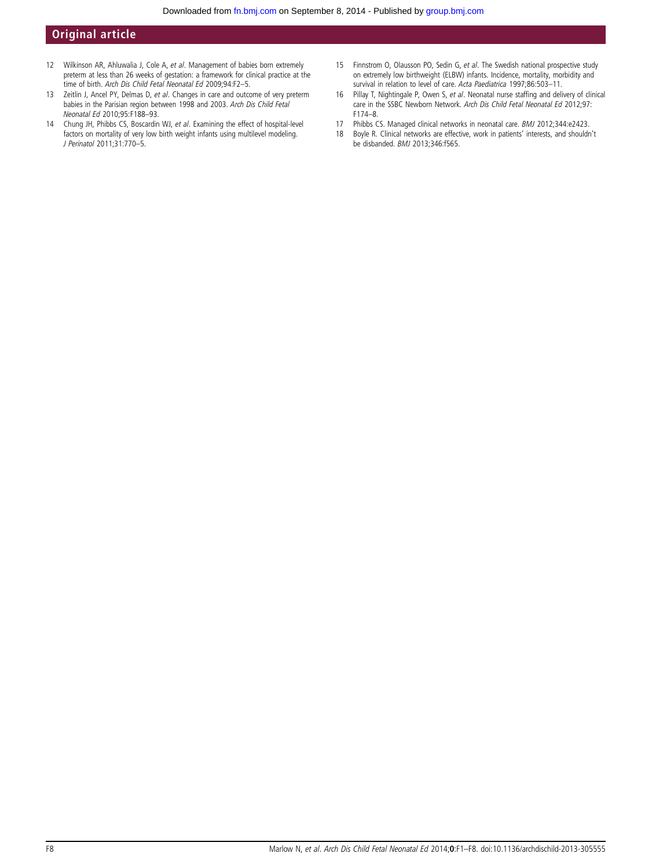# Original article

- 12 Wilkinson AR, Ahluwalia J, Cole A, et al. Management of babies born extremely preterm at less than 26 weeks of gestation: a framework for clinical practice at the time of birth. Arch Dis Child Fetal Neonatal Ed 2009;94:F2–5.
- 13 Zeitlin J, Ancel PY, Delmas D, et al. Changes in care and outcome of very preterm babies in the Parisian region between 1998 and 2003. Arch Dis Child Fetal Neonatal Ed 2010;95:F188–93.
- 14 Chung JH, Phibbs CS, Boscardin WJ, et al. Examining the effect of hospital-level factors on mortality of very low birth weight infants using multilevel modeling. J Perinatol 2011;31:770–5.
- 15 Finnstrom O, Olausson PO, Sedin G, et al. The Swedish national prospective study on extremely low birthweight (ELBW) infants. Incidence, mortality, morbidity and survival in relation to level of care. Acta Paediatrica 1997;86:503-11.
- 16 Pillay T, Nightingale P, Owen S, et al. Neonatal nurse staffing and delivery of clinical care in the SSBC Newborn Network. Arch Dis Child Fetal Neonatal Ed 2012;97: F174–8.
- 17 Phibbs CS. Managed clinical networks in neonatal care. *BMJ* 2012;344:e2423.<br>18 Boyle R. Clinical networks are effective, work in patients' interests, and shouldr
- 18 Boyle R. Clinical networks are effective, work in patients' interests, and shouldn't be disbanded. BMJ 2013;346:f565.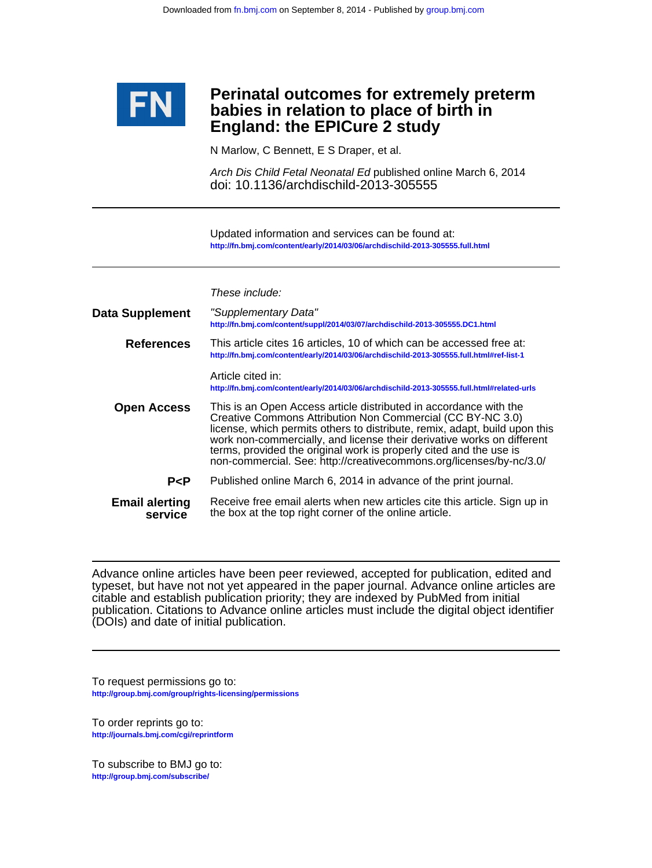

# **England: the EPICure 2 study babies in relation to place of birth in Perinatal outcomes for extremely preterm**

N Marlow, C Bennett, E S Draper, et al.

doi: 10.1136/archdischild-2013-305555 Arch Dis Child Fetal Neonatal Ed published online March 6, 2014

**<http://fn.bmj.com/content/early/2014/03/06/archdischild-2013-305555.full.html>** Updated information and services can be found at:

| <b>Data Supplement</b>           | "Supplementary Data"<br>http://fn.bmj.com/content/suppl/2014/03/07/archdischild-2013-305555.DC1.html                                                                                                                                                                                                                                                                                                                                 |
|----------------------------------|--------------------------------------------------------------------------------------------------------------------------------------------------------------------------------------------------------------------------------------------------------------------------------------------------------------------------------------------------------------------------------------------------------------------------------------|
| <b>References</b>                | This article cites 16 articles, 10 of which can be accessed free at:<br>http://fn.bmj.com/content/early/2014/03/06/archdischild-2013-305555.full.html#ref-list-1                                                                                                                                                                                                                                                                     |
|                                  | Article cited in:<br>http://fn.bmj.com/content/early/2014/03/06/archdischild-2013-305555.full.html#related-urls                                                                                                                                                                                                                                                                                                                      |
| <b>Open Access</b>               | This is an Open Access article distributed in accordance with the<br>Creative Commons Attribution Non Commercial (CC BY-NC 3.0)<br>license, which permits others to distribute, remix, adapt, build upon this<br>work non-commercially, and license their derivative works on different<br>terms, provided the original work is properly cited and the use is<br>non-commercial. See: http://creativecommons.org/licenses/by-nc/3.0/ |
| P < P                            | Published online March 6, 2014 in advance of the print journal.                                                                                                                                                                                                                                                                                                                                                                      |
| <b>Email alerting</b><br>service | Receive free email alerts when new articles cite this article. Sign up in<br>the box at the top right corner of the online article.                                                                                                                                                                                                                                                                                                  |

(DOIs) and date of initial publication. publication. Citations to Advance online articles must include the digital object identifier citable and establish publication priority; they are indexed by PubMed from initial typeset, but have not not yet appeared in the paper journal. Advance online articles are Advance online articles have been peer reviewed, accepted for publication, edited and

**<http://group.bmj.com/group/rights-licensing/permissions>** To request permissions go to:

**<http://journals.bmj.com/cgi/reprintform>** To order reprints go to:

**<http://group.bmj.com/subscribe/>** To subscribe to BMJ go to: